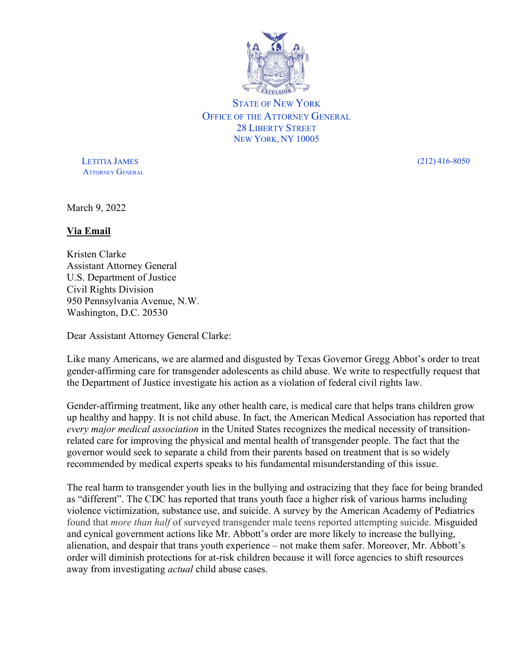

STATE OF NEW YORK OFFICE OF THE ATTORNEY GENERAL 28 LIBERTY STREET NEW YORK, NY 10005

 LETITIA JAMES (212) 416-8050 **ATTORNEY GENERAL** 

March 9, 2022

## Via Email

Kristen Clarke Assistant Attorney General U.S. Department of Justice Civil Rights Division 950 Pennsylvania Avenue, N.W. Washington, D.C. 20530

Dear Assistant Attorney General Clarke:

Like many Americans, we are alarmed and disgusted by Texas Governor Gregg Abbot's order to treat gender-affirming care for transgender adolescents as child abuse. We write to respectfully request that the Department of Justice investigate his action as a violation of federal civil rights law.

Gender-affirming treatment, like any other health care, is medical care that helps trans children grow up healthy and happy. It is not child abuse. In fact, the American Medical Association has reported that every major medical association in the United States recognizes the medical necessity of transitionrelated care for improving the physical and mental health of transgender people. The fact that the governor would seek to separate a child from their parents based on treatment that is so widely recommended by medical experts speaks to his fundamental misunderstanding of this issue.

The real harm to transgender youth lies in the bullying and ostracizing that they face for being branded as "different". The CDC has reported that trans youth face a higher risk of various harms including violence victimization, substance use, and suicide. A survey by the American Academy of Pediatrics found that *more than half* of surveyed transgender male teens reported attempting suicide. Misguided and cynical government actions like Mr. Abbott's order are more likely to increase the bullying, alienation, and despair that trans youth experience – not make them safer. Moreover, Mr. Abbott's order will diminish protections for at-risk children because it will force agencies to shift resources away from investigating *actual* child abuse cases.